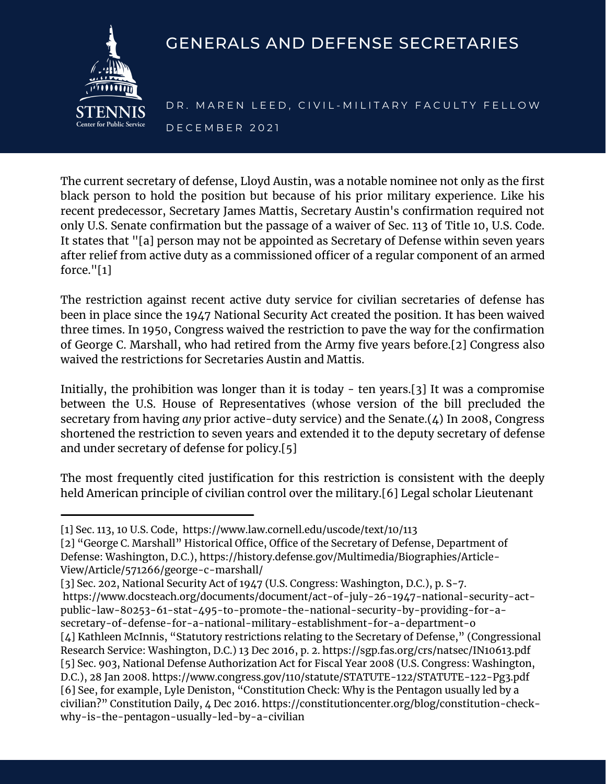

## GENERALS AND DEFENSE SECRETARIES

DR. MAREN LEED, CIVIL-MILITARY FACULTY FELLOW D E C E M B E R 2 0 2 1

The current secretary of defense, Lloyd Austin, was a notable nominee not only as the first black person to hold the position but because of his prior military experience. Like his recent predecessor, Secretary James Mattis, Secretary Austin's confirmation required not only U.S. Senate confirmation but the passage of a waiver of Sec. 113 of Title 10, U.S. Code. It states that "[a] person may not be appointed as Secretary of Defense within seven years after relief from active duty as a commissioned officer of a regular component of an armed force."[1]

The restriction against recent active duty service for civilian secretaries of defense has been in place since the 1947 National Security Act created the position. It has been waived three times. In 1950, Congress waived the restriction to pave the way for the confirmation of George C. Marshall, who had retired from the Army five years before.[2] Congress also waived the restrictions for Secretaries Austin and Mattis.

Initially, the prohibition was longer than it is today - ten years.[3] It was a compromise between the U.S. House of Representatives (whose version of the bill precluded the secretary from having *any* prior active-duty service) and the Senate.(4) In 2008, Congress shortened the restriction to seven years and extended it to the deputy secretary of defense and under secretary of defense for policy.[5]

The most frequently cited justification for this restriction is consistent with the deeply held American principle of civilian control over the military.[6] Legal scholar Lieutenant

[2] "George C. Marshall" Historical Office, Office of the Secretary of Defense, Department of Defense: Washington, D.C.), https://history.defense.gov/Multimedia/Biographies/Article-View/Article/571266/george-c-marshall/

https://www.docsteach.org/documents/document/act-of-july-26-1947-national-security-actpublic-law-80253-61-stat-495-to-promote-the-national-security-by-providing-for-asecretary-of-defense-for-a-national-military-establishment-for-a-department-o [4] Kathleen McInnis, "Statutory restrictions relating to the Secretary of Defense," (Congressional Research Service: Washington, D.C.) 13 Dec 2016, p. 2. https://sgp.fas.org/crs/natsec/IN10613.pdf [5] Sec. 903, National Defense Authorization Act for Fiscal Year 2008 (U.S. Congress: Washington, D.C.), 28 Jan 2008. https://www.congress.gov/110/statute/STATUTE-122/STATUTE-122-Pg3.pdf [6] See, for example, Lyle Deniston, "Constitution Check: Why is the Pentagon usually led by a civilian?" Constitution Daily, 4 Dec 2016. https://constitutioncenter.org/blog/constitution-checkwhy-is-the-pentagon-usually-led-by-a-civilian

<sup>[1]</sup> Sec. 113, 10 U.S. Code, https://www.law.cornell.edu/uscode/text/10/113

<sup>[3]</sup> Sec. 202, National Security Act of 1947 (U.S. Congress: Washington, D.C.), p. S-7.